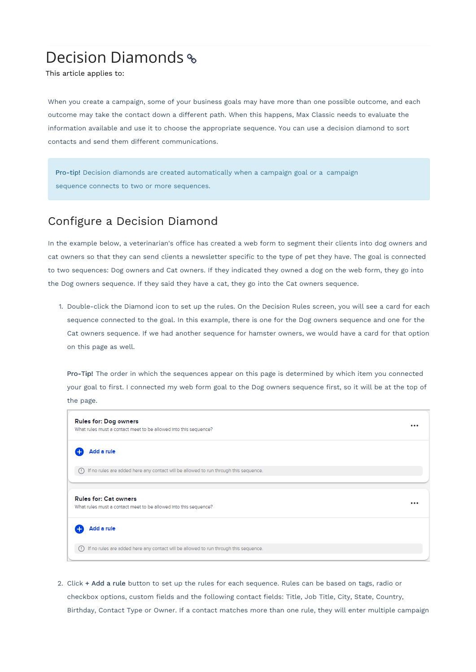# Decision Diamonds

This article applies to:

When you create a campaign, some of your business goals may have more than one possible outcome, and each outcome may take the contact down a different path. When this happens, Max Classic needs to evaluate the information available and use it to choose the appropriate sequence. You can use a decision diamond to sort contacts and send them different communications.

Pro-tip! Decision diamonds are created automatically when a campaign goal or a campaign sequence connects to two or more sequences.

### Configure a Decision Diamond

In the example below, a veterinarian's office has created a web form to segment their clients into dog owners and cat owners so that they can send clients a newsletter specific to the type of pet they have. The goal is connected to two sequences: Dog owners and Cat owners. If they indicated they owned a dog on the web form, they go into the Dog owners sequence. If they said they have a cat, they go into the Cat owners sequence.

1. Double-click the Diamond icon to set up the rules. On the Decision Rules screen, you will see a card for each sequence connected to the goal. In this example, there is one for the Dog owners sequence and one for the Cat owners sequence. If we had another sequence for hamster owners, we would have a card for that option on this page as well.

Pro-Tip! The order in which the sequences appear on this page is determined by which item you connected your goal to first. I connected my web form goal to the Dog owners sequence first, so it will be at the top of the page.



2. Click + Add a rule button to set up the rules for each sequence. Rules can be based on tags, radio or checkbox options, custom fields and the following contact fields: Title, Job Title, City, State, Country, Birthday, Contact Type or Owner. If a contact matches more than one rule, they will enter multiple campaign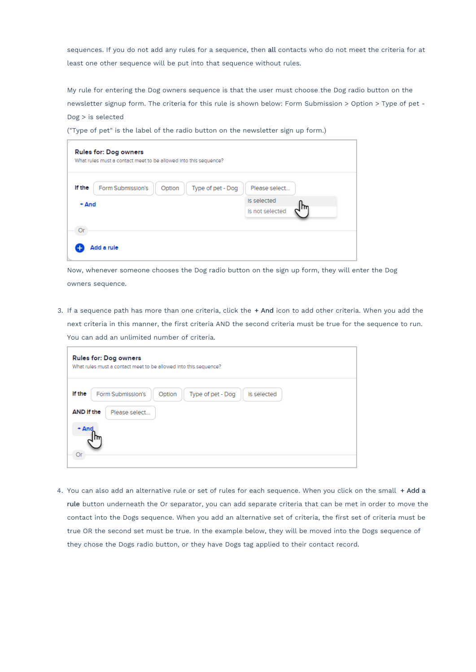sequences. If you do not add any rules for a sequence, then all contacts who do not meet the criteria for at least one other sequence will be put into that sequence without rules.

My rule for entering the Dog owners sequence is that the user must choose the Dog radio button on the newsletter signup form. The criteria for this rule is shown below: Form Submission > Option > Type of pet - Dog > is selected

("Type of pet" is the label of the radio button on the newsletter sign up form.)

| If the<br>Form Submission's | Option | Type of pet - Dog | Please select   |  |
|-----------------------------|--------|-------------------|-----------------|--|
| $+$ And                     |        |                   | Is selected     |  |
|                             |        |                   | Is not selected |  |
|                             |        |                   |                 |  |

Now, whenever someone chooses the Dog radio button on the sign up form, they will enter the Dog owners sequence.

3. If a sequence path has more than one criteria, click the + And icon to add other criteria. When you add the next criteria in this manner, the first criteria AND the second criteria must be true for the sequence to run. You can add an unlimited number of criteria.

| Rules for: Dog owners<br>What rules must a contact meet to be allowed into this sequence?                           |  |  |  |  |
|---------------------------------------------------------------------------------------------------------------------|--|--|--|--|
| If the<br>Form Submission's<br>Type of pet - Dog<br>Option<br>Is selected<br>AND If the<br>Please select<br>$+ And$ |  |  |  |  |

4. You can also add an alternative rule or set of rules for each sequence. When you click on the small + Add a rule button underneath the Or separator, you can add separate criteria that can be met in order to move the contact into the Dogs sequence. When you add an alternative set of criteria, the first set of criteria must be true OR the second set must be true. In the example below, they will be moved into the Dogs sequence of they chose the Dogs radio button, or they have Dogs tag applied to their contact record.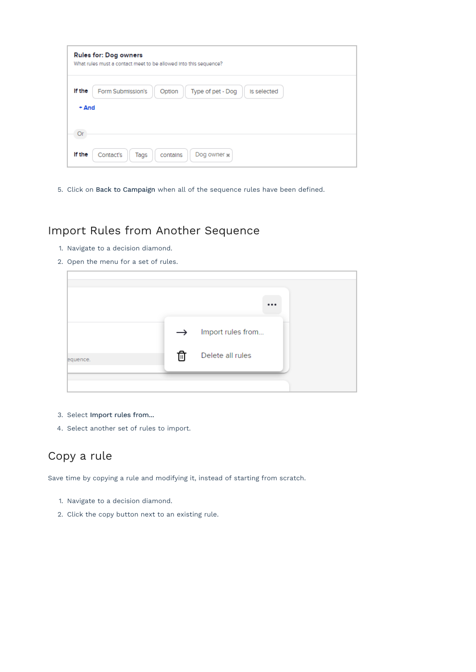| <b>Rules for: Dog owners</b><br>What rules must a contact meet to be allowed into this sequence? |                                                                 |  |  |
|--------------------------------------------------------------------------------------------------|-----------------------------------------------------------------|--|--|
| If the<br>$+$ And                                                                                | Form Submission's<br>Type of pet - Dog<br>Is selected<br>Option |  |  |
|                                                                                                  |                                                                 |  |  |
| If the                                                                                           | Contact's<br>Dog owner :<br>Tags<br>contains                    |  |  |

5. Click on Back to Campaign when all of the sequence rules have been defined.

# Import Rules from Another Sequence

- 1. Navigate to a decision diamond.
- 2. Open the menu for a set of rules.

| $\cdots$<br>Import rules from<br>$\rightarrow$<br>णि<br>Delete all rules |  |  |
|--------------------------------------------------------------------------|--|--|
|                                                                          |  |  |
| equence.                                                                 |  |  |
|                                                                          |  |  |

- 3. Select Import rules from...
- 4. Select another set of rules to import.

### Copy a rule

Save time by copying a rule and modifying it, instead of starting from scratch.

- 1. Navigate to a decision diamond.
- 2. Click the copy button next to an existing rule.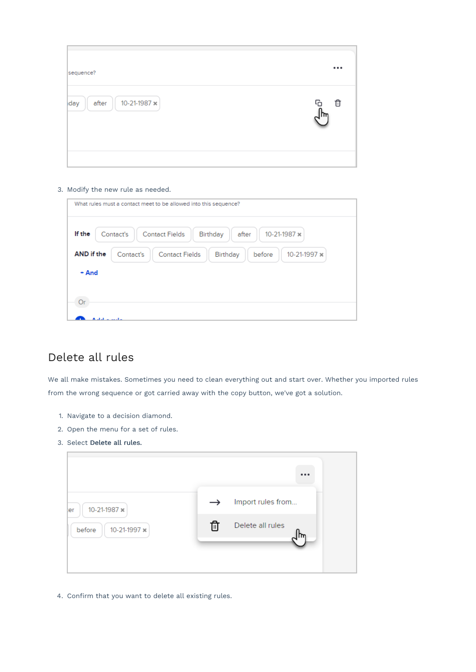| sequence?                    |        |
|------------------------------|--------|
| 10-21-1987 x<br>after<br>day | G<br>Û |

#### 3. Modify the new rule as needed.

| What rules must a contact meet to be allowed into this sequence?                                     |  |
|------------------------------------------------------------------------------------------------------|--|
| If the<br>10-21-1987 x<br>Contact's<br><b>Contact Fields</b><br>Birthday<br>after                    |  |
| AND if the<br>Contact's<br><b>Contact Fields</b><br>10-21-1997 $\times$<br><b>Birthday</b><br>before |  |
| $+$ And                                                                                              |  |
|                                                                                                      |  |
| nr                                                                                                   |  |

# Delete all rules

We all make mistakes. Sometimes you need to clean everything out and start over. Whether you imported rules from the wrong sequence or got carried away with the copy button, we've got a solution.

- 1. Navigate to a decision diamond.
- 2. Open the menu for a set of rules.
- 3. Select Delete all rules.

| 10-21-1987 x<br>ler    | $\rightarrow$ | Import rules from |
|------------------------|---------------|-------------------|
| 10-21-1997 x<br>before | 而             | Delete all rules  |
|                        |               |                   |

4. Confirm that you want to delete all existing rules.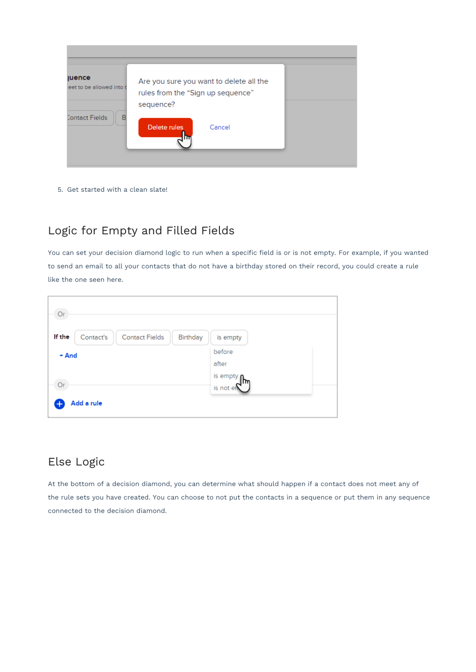| <b>juence</b><br>leet to be allowed into t | Are you sure you want to delete all the<br>rules from the "Sign up sequence"<br>sequence? |  |
|--------------------------------------------|-------------------------------------------------------------------------------------------|--|
| B<br>Contact Fields                        | Delete rules<br>Cancel                                                                    |  |

5. Get started with a clean slate!

# Logic for Empty and Filled Fields

You can set your decision diamond logic to run when a specific field is or is not empty. For example, if you wanted to send an email to all your contacts that do not have a birthday stored on their record, you could create a rule like the one seen here.

| Or                                                       |                       |
|----------------------------------------------------------|-----------------------|
| If the<br>Contact's<br><b>Contact Fields</b><br>Birthday | is empty              |
| + And                                                    | before<br>after       |
| nr                                                       | is empty<br>is not en |
| Add a rule                                               |                       |

# Else Logic

At the bottom of a decision diamond, you can determine what should happen if a contact does not meet any of the rule sets you have created. You can choose to not put the contacts in a sequence or put them in any sequence connected to the decision diamond.